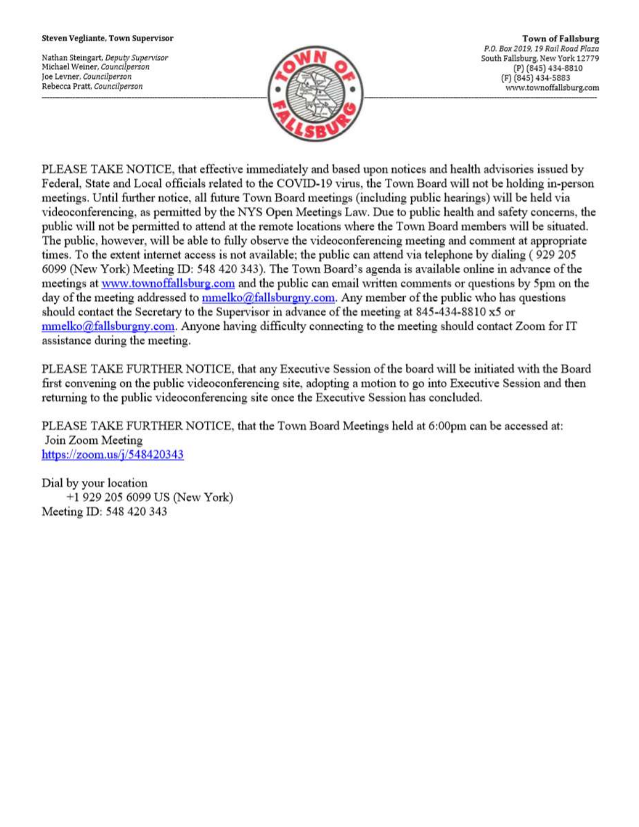#### Steven Vegliante, Town Supervisor

Nathan Steingart, Deputy Supervisor Michael Weiner, Councilperson Joe Levner, Councilperson Rebecca Pratt, Councilperson



**Town of Fallsburg** P.O. Box 2019, 19 Rail Road Plaza South Fallsburg, New York 12779 (P) (845) 434-8810 (F) (845) 434-5883 www.townoffallsburg.com

PLEASE TAKE NOTICE, that effective immediately and based upon notices and health advisories issued by Federal, State and Local officials related to the COVID-19 virus, the Town Board will not be holding in-person meetings. Until further notice, all future Town Board meetings (including public hearings) will be held via videoconferencing, as permitted by the NYS Open Meetings Law. Due to public health and safety concerns, the public will not be permitted to attend at the remote locations where the Town Board members will be situated. The public, however, will be able to fully observe the videoconferencing meeting and comment at appropriate times. To the extent internet access is not available; the public can attend via telephone by dialing (929 205 6099 (New York) Meeting ID: 548 420 343). The Town Board's agenda is available online in advance of the meetings at www.townoffallsburg.com and the public can email written comments or questions by 5pm on the day of the meeting addressed to mmelko@fallsburgny.com. Any member of the public who has questions should contact the Secretary to the Supervisor in advance of the meeting at 845-434-8810 x5 or  $mmelko@fallsburgny.com$ . Anyone having difficulty connecting to the meeting should contact Zoom for IT assistance during the meeting.

PLEASE TAKE FURTHER NOTICE, that any Executive Session of the board will be initiated with the Board first convening on the public videoconferencing site, adopting a motion to go into Executive Session and then returning to the public videoconferencing site once the Executive Session has concluded.

PLEASE TAKE FURTHER NOTICE, that the Town Board Meetings held at 6:00pm can be accessed at: Join Zoom Meeting https://zoom.us/ $j/548420343$ 

Dial by your location +1 929 205 6099 US (New York) Meeting ID: 548 420 343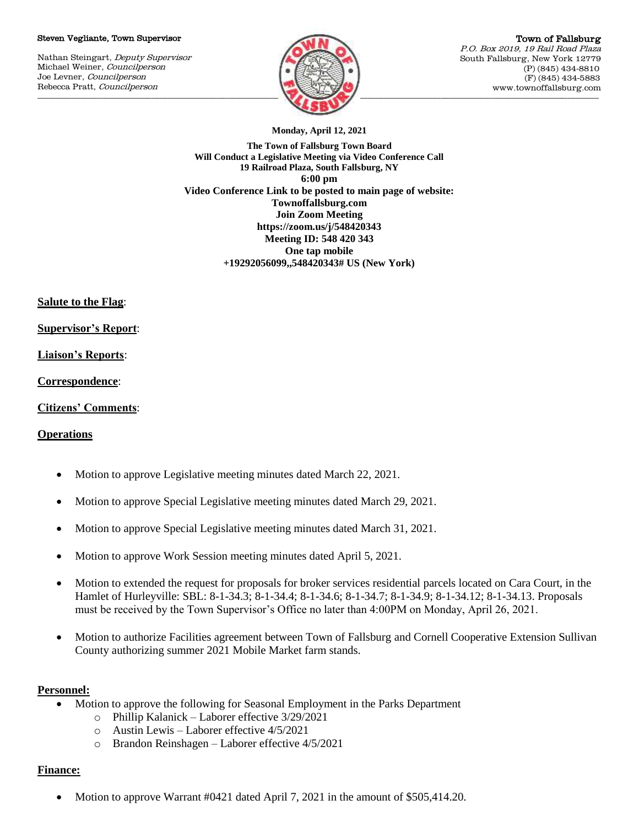### Steven Vegliante, Town Supervisor

Nathan Steingart, Deputy Supervisor Michael Weiner, Councilperson Joe Levner, Councilperson Rebecca Pratt, Councilperson



Town of Fallsburg P.O. Box 2019, 19 Rail Road Plaza South Fallsburg, New York 12779 (P) (845) 434-8810 (F) (845) 434-5883 www.townoffallsburg.com

**Monday, April 12, 2021**

**The Town of Fallsburg Town Board Will Conduct a Legislative Meeting via Video Conference Call 19 Railroad Plaza, South Fallsburg, NY 6:00 pm Video Conference Link to be posted to main page of website: Townoffallsburg.com Join Zoom Meeting https://zoom.us/j/548420343 Meeting ID: 548 420 343 One tap mobile +19292056099,,548420343# US (New York)**

**Salute to the Flag**:

**Supervisor's Report**:

# **Liaison's Reports**:

**Correspondence**:

## **Citizens' Comments**:

# **Operations**

- Motion to approve Legislative meeting minutes dated March 22, 2021.
- Motion to approve Special Legislative meeting minutes dated March 29, 2021.
- Motion to approve Special Legislative meeting minutes dated March 31, 2021.
- Motion to approve Work Session meeting minutes dated April 5, 2021.
- Motion to extended the request for proposals for broker services residential parcels located on Cara Court, in the Hamlet of Hurleyville: SBL: 8-1-34.3; 8-1-34.4; 8-1-34.6; 8-1-34.7; 8-1-34.9; 8-1-34.12; 8-1-34.13. Proposals must be received by the Town Supervisor's Office no later than 4:00PM on Monday, April 26, 2021.
- Motion to authorize Facilities agreement between Town of Fallsburg and Cornell Cooperative Extension Sullivan County authorizing summer 2021 Mobile Market farm stands.

## **Personnel:**

- Motion to approve the following for Seasonal Employment in the Parks Department
	- o Phillip Kalanick Laborer effective 3/29/2021
	- o Austin Lewis Laborer effective 4/5/2021
	- o Brandon Reinshagen Laborer effective 4/5/2021

## **Finance:**

Motion to approve Warrant #0421 dated April 7, 2021 in the amount of \$505,414.20.